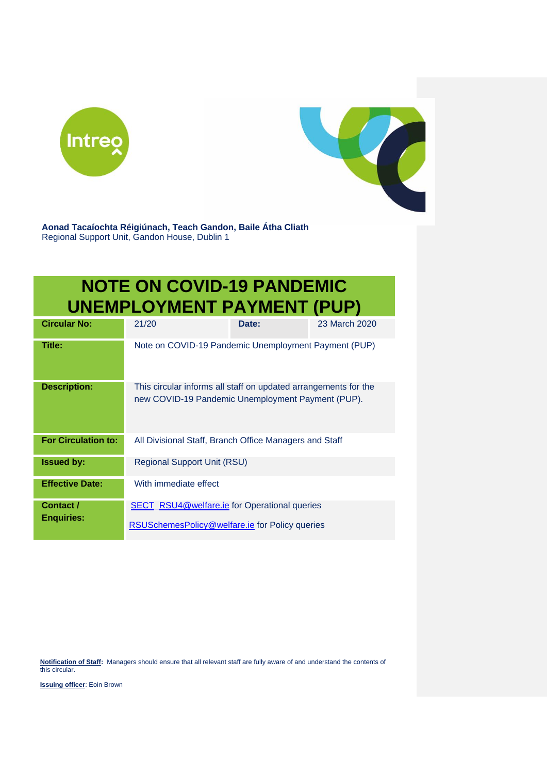



**Aonad Tacaíochta Réigiúnach, Teach Gandon, Baile Átha Cliath**  Regional Support Unit, Gandon House, Dublin 1

## **NOTE ON COVID-19 PANDEMIC UNEMPLOYMENT PAYMENT (PUP)**

| <b>Circular No:</b>            | 21/20                                                                                                                | Date: | 23 March 2020 |
|--------------------------------|----------------------------------------------------------------------------------------------------------------------|-------|---------------|
| Title:                         | Note on COVID-19 Pandemic Unemployment Payment (PUP)                                                                 |       |               |
| <b>Description:</b>            | This circular informs all staff on updated arrangements for the<br>new COVID-19 Pandemic Unemployment Payment (PUP). |       |               |
| <b>For Circulation to:</b>     | All Divisional Staff, Branch Office Managers and Staff                                                               |       |               |
| <b>Issued by:</b>              | Regional Support Unit (RSU)                                                                                          |       |               |
| <b>Effective Date:</b>         | With immediate effect                                                                                                |       |               |
| Contact /<br><b>Enquiries:</b> | <b>SECT_RSU4@welfare.ie for Operational queries</b><br>RSUSchemesPolicy@welfare.ie for Policy queries                |       |               |

**Notification of Staff:** Managers should ensure that all relevant staff are fully aware of and understand the contents of this circular.

**Issuing officer**: Eoin Brown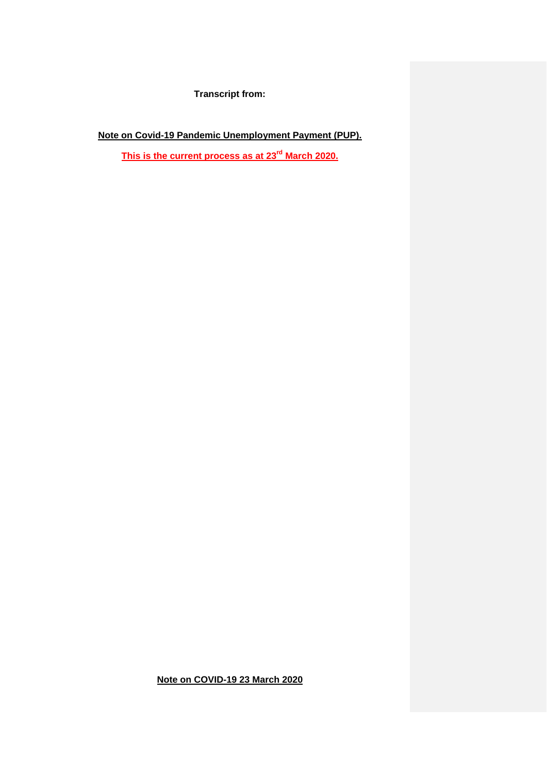**Transcript from:**

**Note on Covid-19 Pandemic Unemployment Payment (PUP).**

**This is the current process as at 23 rd March 2020.**

**Note on COVID-19 23 March 2020**